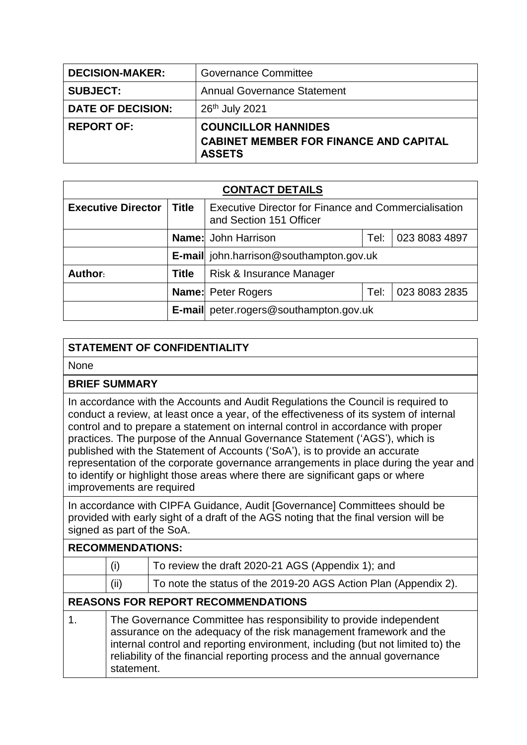| <b>DECISION-MAKER:</b>   | <b>Governance Committee</b>                                                                  |  |  |  |
|--------------------------|----------------------------------------------------------------------------------------------|--|--|--|
| <b>SUBJECT:</b>          | <b>Annual Governance Statement</b>                                                           |  |  |  |
| <b>DATE OF DECISION:</b> | 26th July 2021                                                                               |  |  |  |
| <b>REPORT OF:</b>        | <b>COUNCILLOR HANNIDES</b><br><b>CABINET MEMBER FOR FINANCE AND CAPITAL</b><br><b>ASSETS</b> |  |  |  |

| <b>CONTACT DETAILS</b>    |              |                                                                                 |      |               |  |
|---------------------------|--------------|---------------------------------------------------------------------------------|------|---------------|--|
| <b>Executive Director</b> | Title        | Executive Director for Finance and Commercialisation<br>and Section 151 Officer |      |               |  |
|                           |              | <b>Name:</b> John Harrison                                                      | Tel: | 023 8083 4897 |  |
|                           |              | <b>E-mail</b> john.harrison@southampton.gov.uk                                  |      |               |  |
| Author:                   | <b>Title</b> | Risk & Insurance Manager                                                        |      |               |  |
|                           |              | <b>Name:</b> Peter Rogers<br>Tel:                                               |      | 023 8083 2835 |  |
|                           |              | <b>E-mail</b> peter.rogers@southampton.gov.uk                                   |      |               |  |

## **STATEMENT OF CONFIDENTIALITY**

None

## **BRIEF SUMMARY**

In accordance with the Accounts and Audit Regulations the Council is required to conduct a review, at least once a year, of the effectiveness of its system of internal control and to prepare a statement on internal control in accordance with proper practices. The purpose of the Annual Governance Statement ('AGS'), which is published with the Statement of Accounts ('SoA'), is to provide an accurate representation of the corporate governance arrangements in place during the year and to identify or highlight those areas where there are significant gaps or where improvements are required

In accordance with CIPFA Guidance, Audit [Governance] Committees should be provided with early sight of a draft of the AGS noting that the final version will be signed as part of the SoA.

## **RECOMMENDATIONS:**

| (i)  | To review the draft 2020-21 AGS (Appendix 1); and               |
|------|-----------------------------------------------------------------|
| (ii) | To note the status of the 2019-20 AGS Action Plan (Appendix 2). |

## **REASONS FOR REPORT RECOMMENDATIONS**

1. The Governance Committee has responsibility to provide independent assurance on the adequacy of the risk management framework and the internal control and reporting environment, including (but not limited to) the reliability of the financial reporting process and the annual governance statement.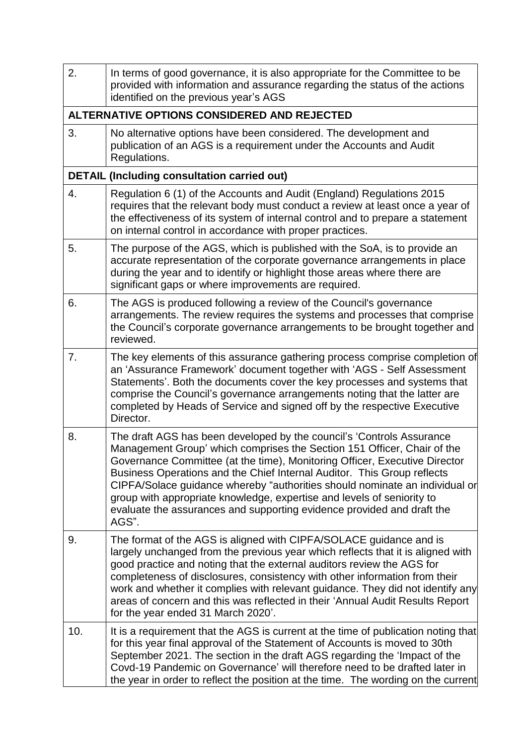| 2.  | In terms of good governance, it is also appropriate for the Committee to be<br>provided with information and assurance regarding the status of the actions<br>identified on the previous year's AGS                                                                                                                                                                                                                                                                                                                                                   |
|-----|-------------------------------------------------------------------------------------------------------------------------------------------------------------------------------------------------------------------------------------------------------------------------------------------------------------------------------------------------------------------------------------------------------------------------------------------------------------------------------------------------------------------------------------------------------|
|     | ALTERNATIVE OPTIONS CONSIDERED AND REJECTED                                                                                                                                                                                                                                                                                                                                                                                                                                                                                                           |
| 3.  | No alternative options have been considered. The development and<br>publication of an AGS is a requirement under the Accounts and Audit<br>Regulations.                                                                                                                                                                                                                                                                                                                                                                                               |
|     | <b>DETAIL (Including consultation carried out)</b>                                                                                                                                                                                                                                                                                                                                                                                                                                                                                                    |
| 4.  | Regulation 6 (1) of the Accounts and Audit (England) Regulations 2015<br>requires that the relevant body must conduct a review at least once a year of<br>the effectiveness of its system of internal control and to prepare a statement<br>on internal control in accordance with proper practices.                                                                                                                                                                                                                                                  |
| 5.  | The purpose of the AGS, which is published with the SoA, is to provide an<br>accurate representation of the corporate governance arrangements in place<br>during the year and to identify or highlight those areas where there are<br>significant gaps or where improvements are required.                                                                                                                                                                                                                                                            |
| 6.  | The AGS is produced following a review of the Council's governance<br>arrangements. The review requires the systems and processes that comprise<br>the Council's corporate governance arrangements to be brought together and<br>reviewed.                                                                                                                                                                                                                                                                                                            |
| 7.  | The key elements of this assurance gathering process comprise completion of<br>an 'Assurance Framework' document together with 'AGS - Self Assessment<br>Statements'. Both the documents cover the key processes and systems that<br>comprise the Council's governance arrangements noting that the latter are<br>completed by Heads of Service and signed off by the respective Executive<br>Director.                                                                                                                                               |
| 8.  | The draft AGS has been developed by the council's 'Controls Assurance<br>Management Group' which comprises the Section 151 Officer, Chair of the<br>Governance Committee (at the time), Monitoring Officer, Executive Director<br>Business Operations and the Chief Internal Auditor. This Group reflects<br>CIPFA/Solace guidance whereby "authorities should nominate an individual or<br>group with appropriate knowledge, expertise and levels of seniority to<br>evaluate the assurances and supporting evidence provided and draft the<br>AGS". |
| 9.  | The format of the AGS is aligned with CIPFA/SOLACE guidance and is<br>largely unchanged from the previous year which reflects that it is aligned with<br>good practice and noting that the external auditors review the AGS for<br>completeness of disclosures, consistency with other information from their<br>work and whether it complies with relevant guidance. They did not identify any<br>areas of concern and this was reflected in their 'Annual Audit Results Report<br>for the year ended 31 March 2020'.                                |
| 10. | It is a requirement that the AGS is current at the time of publication noting that<br>for this year final approval of the Statement of Accounts is moved to 30th<br>September 2021. The section in the draft AGS regarding the 'Impact of the<br>Covd-19 Pandemic on Governance' will therefore need to be drafted later in<br>the year in order to reflect the position at the time. The wording on the current                                                                                                                                      |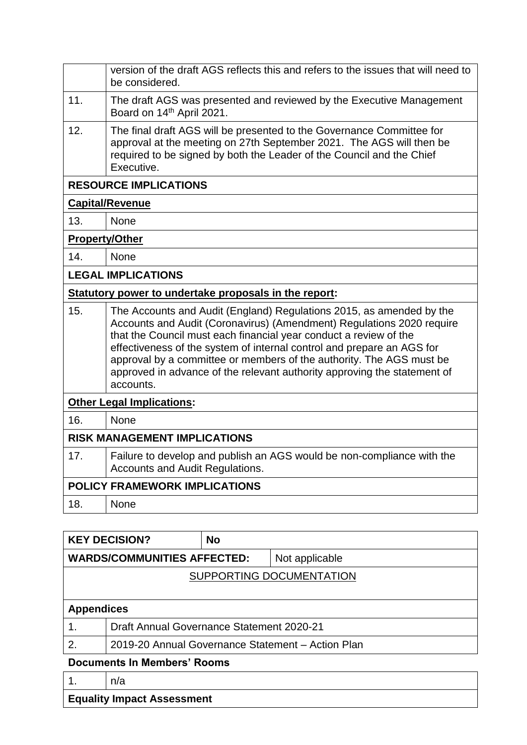|                                     | version of the draft AGS reflects this and refers to the issues that will need to<br>be considered.                                                                                                                                                                                                                                                                                                                                                           |  |  |
|-------------------------------------|---------------------------------------------------------------------------------------------------------------------------------------------------------------------------------------------------------------------------------------------------------------------------------------------------------------------------------------------------------------------------------------------------------------------------------------------------------------|--|--|
| 11.                                 | The draft AGS was presented and reviewed by the Executive Management<br>Board on 14th April 2021.                                                                                                                                                                                                                                                                                                                                                             |  |  |
| 12.                                 | The final draft AGS will be presented to the Governance Committee for<br>approval at the meeting on 27th September 2021. The AGS will then be<br>required to be signed by both the Leader of the Council and the Chief<br>Executive.                                                                                                                                                                                                                          |  |  |
|                                     | <b>RESOURCE IMPLICATIONS</b>                                                                                                                                                                                                                                                                                                                                                                                                                                  |  |  |
|                                     | <b>Capital/Revenue</b>                                                                                                                                                                                                                                                                                                                                                                                                                                        |  |  |
| 13.                                 | None                                                                                                                                                                                                                                                                                                                                                                                                                                                          |  |  |
| <b>Property/Other</b>               |                                                                                                                                                                                                                                                                                                                                                                                                                                                               |  |  |
| 14.                                 | None                                                                                                                                                                                                                                                                                                                                                                                                                                                          |  |  |
|                                     | <b>LEGAL IMPLICATIONS</b>                                                                                                                                                                                                                                                                                                                                                                                                                                     |  |  |
|                                     | Statutory power to undertake proposals in the report:                                                                                                                                                                                                                                                                                                                                                                                                         |  |  |
| 15.                                 | The Accounts and Audit (England) Regulations 2015, as amended by the<br>Accounts and Audit (Coronavirus) (Amendment) Regulations 2020 require<br>that the Council must each financial year conduct a review of the<br>effectiveness of the system of internal control and prepare an AGS for<br>approval by a committee or members of the authority. The AGS must be<br>approved in advance of the relevant authority approving the statement of<br>accounts. |  |  |
|                                     | <b>Other Legal Implications:</b>                                                                                                                                                                                                                                                                                                                                                                                                                              |  |  |
| 16.                                 | None                                                                                                                                                                                                                                                                                                                                                                                                                                                          |  |  |
| <b>RISK MANAGEMENT IMPLICATIONS</b> |                                                                                                                                                                                                                                                                                                                                                                                                                                                               |  |  |
| 17.                                 | Failure to develop and publish an AGS would be non-compliance with the<br><b>Accounts and Audit Regulations.</b>                                                                                                                                                                                                                                                                                                                                              |  |  |
|                                     | <b>POLICY FRAMEWORK IMPLICATIONS</b>                                                                                                                                                                                                                                                                                                                                                                                                                          |  |  |
| 18.                                 | <b>None</b>                                                                                                                                                                                                                                                                                                                                                                                                                                                   |  |  |
|                                     |                                                                                                                                                                                                                                                                                                                                                                                                                                                               |  |  |

|                                    | <b>KEY DECISION?</b>                              | <b>No</b> |                |  |
|------------------------------------|---------------------------------------------------|-----------|----------------|--|
| <b>WARDS/COMMUNITIES AFFECTED:</b> |                                                   |           | Not applicable |  |
| SUPPORTING DOCUMENTATION           |                                                   |           |                |  |
|                                    |                                                   |           |                |  |
| <b>Appendices</b>                  |                                                   |           |                |  |
|                                    | <b>Draft Annual Governance Statement 2020-21</b>  |           |                |  |
| 2.                                 | 2019-20 Annual Governance Statement - Action Plan |           |                |  |
| <b>Documents In Members' Rooms</b> |                                                   |           |                |  |

|                                   | n/a |  |  |  |
|-----------------------------------|-----|--|--|--|
| <b>Equality Impact Assessment</b> |     |  |  |  |